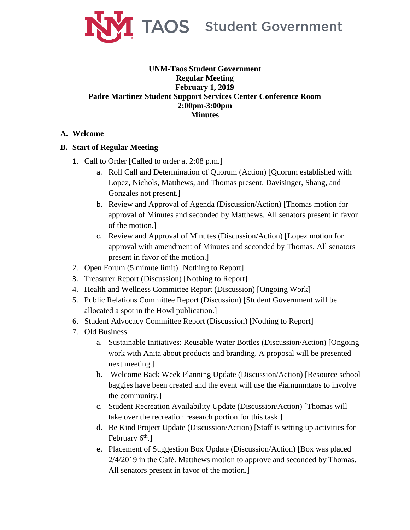

## **UNM-Taos Student Government Regular Meeting February 1, 2019 Padre Martinez Student Support Services Center Conference Room 2:00pm-3:00pm Minutes**

## **A. Welcome**

## **B. Start of Regular Meeting**

- 1. Call to Order [Called to order at 2:08 p.m.]
	- a. Roll Call and Determination of Quorum (Action) [Quorum established with Lopez, Nichols, Matthews, and Thomas present. Davisinger, Shang, and Gonzales not present.]
	- b. Review and Approval of Agenda (Discussion/Action) [Thomas motion for approval of Minutes and seconded by Matthews. All senators present in favor of the motion.]
	- c. Review and Approval of Minutes (Discussion/Action) [Lopez motion for approval with amendment of Minutes and seconded by Thomas. All senators present in favor of the motion.]
- 2. Open Forum (5 minute limit) [Nothing to Report]
- 3. Treasurer Report (Discussion) [Nothing to Report]
- 4. Health and Wellness Committee Report (Discussion) [Ongoing Work]
- 5. Public Relations Committee Report (Discussion) [Student Government will be allocated a spot in the Howl publication.]
- 6. Student Advocacy Committee Report (Discussion) [Nothing to Report]
- 7. Old Business
	- a. Sustainable Initiatives: Reusable Water Bottles (Discussion/Action) [Ongoing work with Anita about products and branding. A proposal will be presented next meeting.]
	- b. Welcome Back Week Planning Update (Discussion/Action) [Resource school baggies have been created and the event will use the #iamunmtaos to involve the community.]
	- c. Student Recreation Availability Update (Discussion/Action) [Thomas will take over the recreation research portion for this task.]
	- d. Be Kind Project Update (Discussion/Action) [Staff is setting up activities for February  $6<sup>th</sup>$ .]
	- e. Placement of Suggestion Box Update (Discussion/Action) [Box was placed 2/4/2019 in the Café. Matthews motion to approve and seconded by Thomas. All senators present in favor of the motion.]